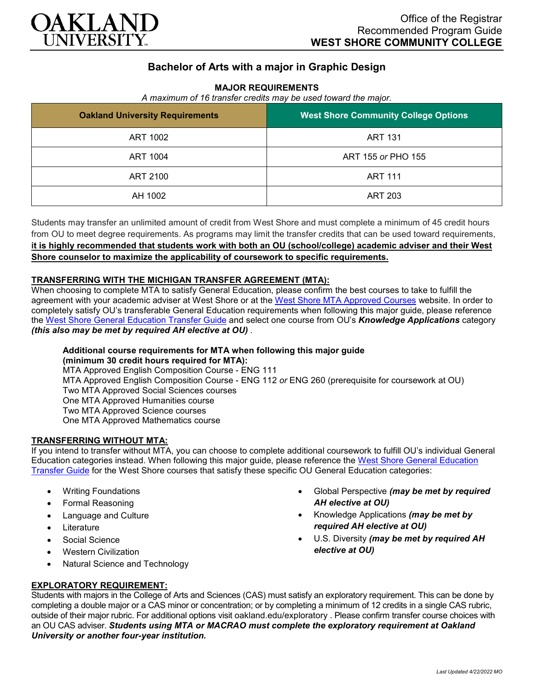

# **Bachelor of Arts with a major in Graphic Design**

# **MAJOR REQUIREMENTS**

*A maximum of 16 transfer credits may be used toward the major.*

| <b>Oakland University Requirements</b> | <b>West Shore Community College Options</b> |
|----------------------------------------|---------------------------------------------|
| ART 1002                               | <b>ART 131</b>                              |
| ART 1004                               | ART 155 or PHO 155                          |
| ART 2100                               | <b>ART 111</b>                              |
| AH 1002                                | <b>ART 203</b>                              |

Students may transfer an unlimited amount of credit from West Shore and must complete a minimum of 45 credit hours from OU to meet degree requirements. As programs may limit the transfer credits that can be used toward requirements, **it is highly recommended that students work with both an OU (school/college) academic adviser and their West Shore counselor to maximize the applicability of coursework to specific requirements.**

## **TRANSFERRING WITH THE MICHIGAN TRANSFER AGREEMENT (MTA):**

When choosing to complete MTA to satisfy General Education, please confirm the best courses to take to fulfill the agreement with your academic adviser at West Shore or at the [West Shore MTA Approved Courses](https://www.westshore.edu/wp-content/uploads/2017/08/WSCC-MTA.pdf) website. In order to completely satisfy OU's transferable General Education requirements when following this major guide, please reference the [West Shore General Education Transfer Guide](https://www.oakland.edu/Assets/Oakland/program-guides/west-shore-community-college/university-general-education-requirements/West%20Shore%20Gen%20Ed.pdf) and select one course from OU's *Knowledge Applications* category *(this also may be met by required AH elective at OU)* .

# **Additional course requirements for MTA when following this major guide**

**(minimum 30 credit hours required for MTA):**

MTA Approved English Composition Course - ENG 111

MTA Approved English Composition Course - ENG 112 *or* ENG 260 (prerequisite for coursework at OU)

Two MTA Approved Social Sciences courses

One MTA Approved Humanities course

Two MTA Approved Science courses

One MTA Approved Mathematics course

# **TRANSFERRING WITHOUT MTA:**

If you intend to transfer without MTA, you can choose to complete additional coursework to fulfill OU's individual General Education categories instead. When following this major guide, please reference the [West Shore General Education](https://www.oakland.edu/Assets/Oakland/program-guides/west-shore-community-college/university-general-education-requirements/West%20Shore%20Gen%20Ed.pdf)  [Transfer Guide](https://www.oakland.edu/Assets/Oakland/program-guides/west-shore-community-college/university-general-education-requirements/West%20Shore%20Gen%20Ed.pdf) for the West Shore courses that satisfy these specific OU General Education categories:

- Writing Foundations
- Formal Reasoning
- Language and Culture
- **Literature**
- Social Science
- Western Civilization
- Natural Science and Technology
- Global Perspective *(may be met by required AH elective at OU)*
- Knowledge Applications *(may be met by required AH elective at OU)*
- U.S. Diversity *(may be met by required AH elective at OU)*

#### **EXPLORATORY REQUIREMENT:**

Students with majors in the College of Arts and Sciences (CAS) must satisfy an exploratory requirement. This can be done by completing a double major or a CAS minor or concentration; or by completing a minimum of 12 credits in a single CAS rubric, outside of their major rubric. For additional options visit [oakland.edu/exploratory](http://www.oakland.edu/exploratory) . Please confirm transfer course choices with an OU CAS adviser. *Students using MTA or MACRAO must complete the exploratory requirement at Oakland University or another four-year institution.*